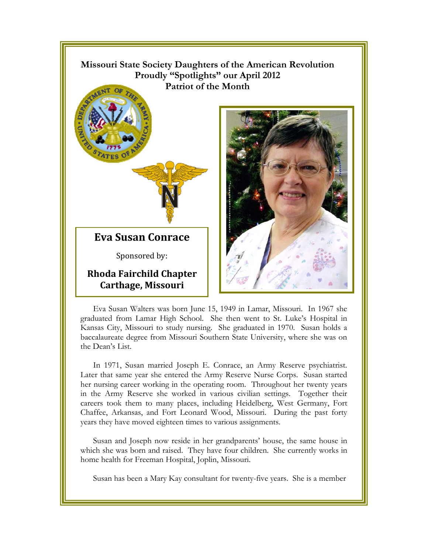

Eva Susan Walters was born June 15, 1949 in Lamar, Missouri. In 1967 she graduated from Lamar High School. She then went to St. Luke's Hospital in Kansas City, Missouri to study nursing. She graduated in 1970. Susan holds a baccalaureate degree from Missouri Southern State University, where she was on the Dean's List.

In 1971, Susan married Joseph E. Conrace, an Army Reserve psychiatrist. Later that same year she entered the Army Reserve Nurse Corps. Susan started her nursing career working in the operating room. Throughout her twenty years in the Army Reserve she worked in various civilian settings. Together their careers took them to many places, including Heidelberg, West Germany, Fort Chaffee, Arkansas, and Fort Leonard Wood, Missouri. During the past forty years they have moved eighteen times to various assignments.

Susan and Joseph now reside in her grandparents' house, the same house in which she was born and raised. They have four children. She currently works in home health for Freeman Hospital, Joplin, Missouri.

Susan has been a Mary Kay consultant for twenty-five years. She is a member